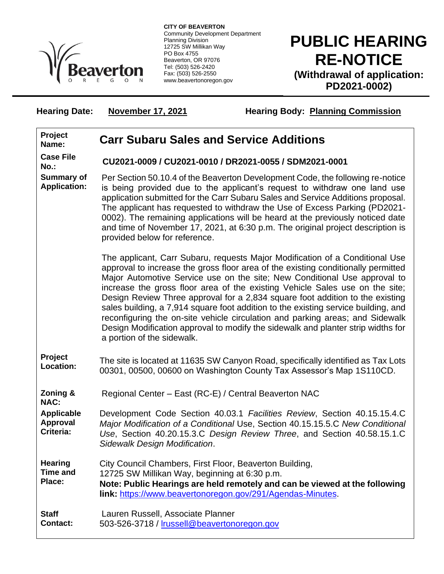

**CITY OF BEAVERTON** Community Development Department Planning Division 12725 SW Millikan Way PO Box 4755 Beaverton, OR 97076 Tel: (503) 526-2420 Fax: (503) 526-2550 www.beavertonoregon.gov

## **PUBLIC HEARING RE-NOTICE (Withdrawal of application: PD2021-0002)**

Hearing Date: November 17, 2021 Hearing Body: Planning Commission

| Project<br>Name:                                  | <b>Carr Subaru Sales and Service Additions</b>                                                                                                                                                                                                                                                                                                                                                                                                                                                                                                                                                                                                                                                           |
|---------------------------------------------------|----------------------------------------------------------------------------------------------------------------------------------------------------------------------------------------------------------------------------------------------------------------------------------------------------------------------------------------------------------------------------------------------------------------------------------------------------------------------------------------------------------------------------------------------------------------------------------------------------------------------------------------------------------------------------------------------------------|
| <b>Case File</b><br>No.:                          | CU2021-0009 / CU2021-0010 / DR2021-0055 / SDM2021-0001                                                                                                                                                                                                                                                                                                                                                                                                                                                                                                                                                                                                                                                   |
| <b>Summary of</b><br><b>Application:</b>          | Per Section 50.10.4 of the Beaverton Development Code, the following re-notice<br>is being provided due to the applicant's request to withdraw one land use<br>application submitted for the Carr Subaru Sales and Service Additions proposal.<br>The applicant has requested to withdraw the Use of Excess Parking (PD2021-<br>0002). The remaining applications will be heard at the previously noticed date<br>and time of November 17, 2021, at 6:30 p.m. The original project description is<br>provided below for reference.                                                                                                                                                                       |
|                                                   | The applicant, Carr Subaru, requests Major Modification of a Conditional Use<br>approval to increase the gross floor area of the existing conditionally permitted<br>Major Automotive Service use on the site; New Conditional Use approval to<br>increase the gross floor area of the existing Vehicle Sales use on the site;<br>Design Review Three approval for a 2,834 square foot addition to the existing<br>sales building, a 7,914 square foot addition to the existing service building, and<br>reconfiguring the on-site vehicle circulation and parking areas; and Sidewalk<br>Design Modification approval to modify the sidewalk and planter strip widths for<br>a portion of the sidewalk. |
| Project<br>Location:                              | The site is located at 11635 SW Canyon Road, specifically identified as Tax Lots<br>00301, 00500, 00600 on Washington County Tax Assessor's Map 1S110CD.                                                                                                                                                                                                                                                                                                                                                                                                                                                                                                                                                 |
| Zoning &<br><b>NAC:</b>                           | Regional Center - East (RC-E) / Central Beaverton NAC                                                                                                                                                                                                                                                                                                                                                                                                                                                                                                                                                                                                                                                    |
| <b>Applicable</b><br><b>Approval</b><br>Criteria: | Development Code Section 40.03.1 Facilities Review, Section 40.15.15.4.C<br>Major Modification of a Conditional Use, Section 40.15.15.5.C New Conditional<br>Use, Section 40.20.15.3.C Design Review Three, and Section 40.58.15.1.C<br>Sidewalk Design Modification.                                                                                                                                                                                                                                                                                                                                                                                                                                    |
| <b>Hearing</b><br><b>Time and</b><br>Place:       | City Council Chambers, First Floor, Beaverton Building,<br>12725 SW Millikan Way, beginning at 6:30 p.m.<br>Note: Public Hearings are held remotely and can be viewed at the following<br>link: https://www.beavertonoregon.gov/291/Agendas-Minutes.                                                                                                                                                                                                                                                                                                                                                                                                                                                     |
| <b>Staff</b><br><b>Contact:</b>                   | Lauren Russell, Associate Planner<br>503-526-3718 / Irussell@beavertonoregon.gov                                                                                                                                                                                                                                                                                                                                                                                                                                                                                                                                                                                                                         |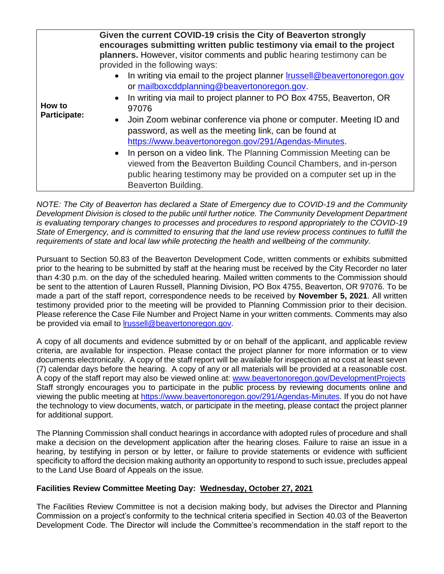| How to<br><b>Participate:</b> | Given the current COVID-19 crisis the City of Beaverton strongly<br>encourages submitting written public testimony via email to the project                                                                                                                                                                                                                                                                                                 |
|-------------------------------|---------------------------------------------------------------------------------------------------------------------------------------------------------------------------------------------------------------------------------------------------------------------------------------------------------------------------------------------------------------------------------------------------------------------------------------------|
|                               | planners. However, visitor comments and public hearing testimony can be<br>provided in the following ways:<br>In writing via email to the project planner <b>Irussell@beavertonoregon.gov</b><br>$\bullet$<br>or mailboxcddplanning@beavertonoregon.gov.<br>In writing via mail to project planner to PO Box 4755, Beaverton, OR<br>$\bullet$<br>97076                                                                                      |
|                               | Join Zoom webinar conference via phone or computer. Meeting ID and<br>$\bullet$<br>password, as well as the meeting link, can be found at<br>https://www.beavertonoregon.gov/291/Agendas-Minutes.<br>In person on a video link. The Planning Commission Meeting can be<br>viewed from the Beaverton Building Council Chambers, and in-person<br>public hearing testimony may be provided on a computer set up in the<br>Beaverton Building. |

*NOTE: The City of Beaverton has declared a State of Emergency due to COVID-19 and the Community Development Division is closed to the public until further notice. The Community Development Department is evaluating temporary changes to processes and procedures to respond appropriately to the COVID-19 State of Emergency, and is committed to ensuring that the land use review process continues to fulfill the requirements of state and local law while protecting the health and wellbeing of the community.*

Pursuant to Section 50.83 of the Beaverton Development Code, written comments or exhibits submitted prior to the hearing to be submitted by staff at the hearing must be received by the City Recorder no later than 4:30 p.m. on the day of the scheduled hearing. Mailed written comments to the Commission should be sent to the attention of Lauren Russell, Planning Division, PO Box 4755, Beaverton, OR 97076. To be made a part of the staff report, correspondence needs to be received by **November 5, 2021**. All written testimony provided prior to the meeting will be provided to Planning Commission prior to their decision. Please reference the Case File Number and Project Name in your written comments. Comments may also be provided via email to *lrussell@beavertonoregon.gov.* 

A copy of all documents and evidence submitted by or on behalf of the applicant, and applicable review criteria, are available for inspection. Please contact the project planner for more information or to view documents electronically. A copy of the staff report will be available for inspection at no cost at least seven (7) calendar days before the hearing. A copy of any or all materials will be provided at a reasonable cost. A copy of the staff report may also be viewed online at: [www.beavertonoregon.gov/DevelopmentProjects](http://www.beavertonoregon.gov/DevelopmentProjects) Staff strongly encourages you to participate in the public process by reviewing documents online and viewing the public meeting at [https://www.beavertonoregon.gov/291/Agendas-Minutes.](https://www.beavertonoregon.gov/291/Agendas-Minutes) If you do not have the technology to view documents, watch, or participate in the meeting, please contact the project planner for additional support.

The Planning Commission shall conduct hearings in accordance with adopted rules of procedure and shall make a decision on the development application after the hearing closes. Failure to raise an issue in a hearing, by testifying in person or by letter, or failure to provide statements or evidence with sufficient specificity to afford the decision making authority an opportunity to respond to such issue, precludes appeal to the Land Use Board of Appeals on the issue.

## **Facilities Review Committee Meeting Day: Wednesday, October 27, 2021**

The Facilities Review Committee is not a decision making body, but advises the Director and Planning Commission on a project's conformity to the technical criteria specified in Section 40.03 of the Beaverton Development Code. The Director will include the Committee's recommendation in the staff report to the